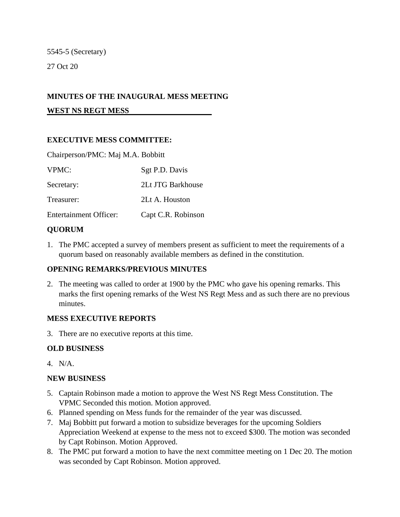5545-5 (Secretary) 27 Oct 20

## **MINUTES OF THE INAUGURAL MESS MEETING**

**WEST NS REGT MESS**

## **EXECUTIVE MESS COMMITTEE:**

| Chairperson/PMC: Maj M.A. Bobbitt |                    |
|-----------------------------------|--------------------|
| VPMC:                             | Sgt P.D. Davis     |
| Secretary:                        | 2Lt JTG Barkhouse  |
| Treasurer:                        | 2Lt A. Houston     |
| <b>Entertainment Officer:</b>     | Capt C.R. Robinson |

## **QUORUM**

1. The PMC accepted a survey of members present as sufficient to meet the requirements of a quorum based on reasonably available members as defined in the constitution.

#### **OPENING REMARKS/PREVIOUS MINUTES**

2. The meeting was called to order at 1900 by the PMC who gave his opening remarks. This marks the first opening remarks of the West NS Regt Mess and as such there are no previous minutes.

#### **MESS EXECUTIVE REPORTS**

3. There are no executive reports at this time.

#### **OLD BUSINESS**

4. N/A.

#### **NEW BUSINESS**

- 5. Captain Robinson made a motion to approve the West NS Regt Mess Constitution. The VPMC Seconded this motion. Motion approved.
- 6. Planned spending on Mess funds for the remainder of the year was discussed.
- 7. Maj Bobbitt put forward a motion to subsidize beverages for the upcoming Soldiers Appreciation Weekend at expense to the mess not to exceed \$300. The motion was seconded by Capt Robinson. Motion Approved.
- 8. The PMC put forward a motion to have the next committee meeting on 1 Dec 20. The motion was seconded by Capt Robinson. Motion approved.